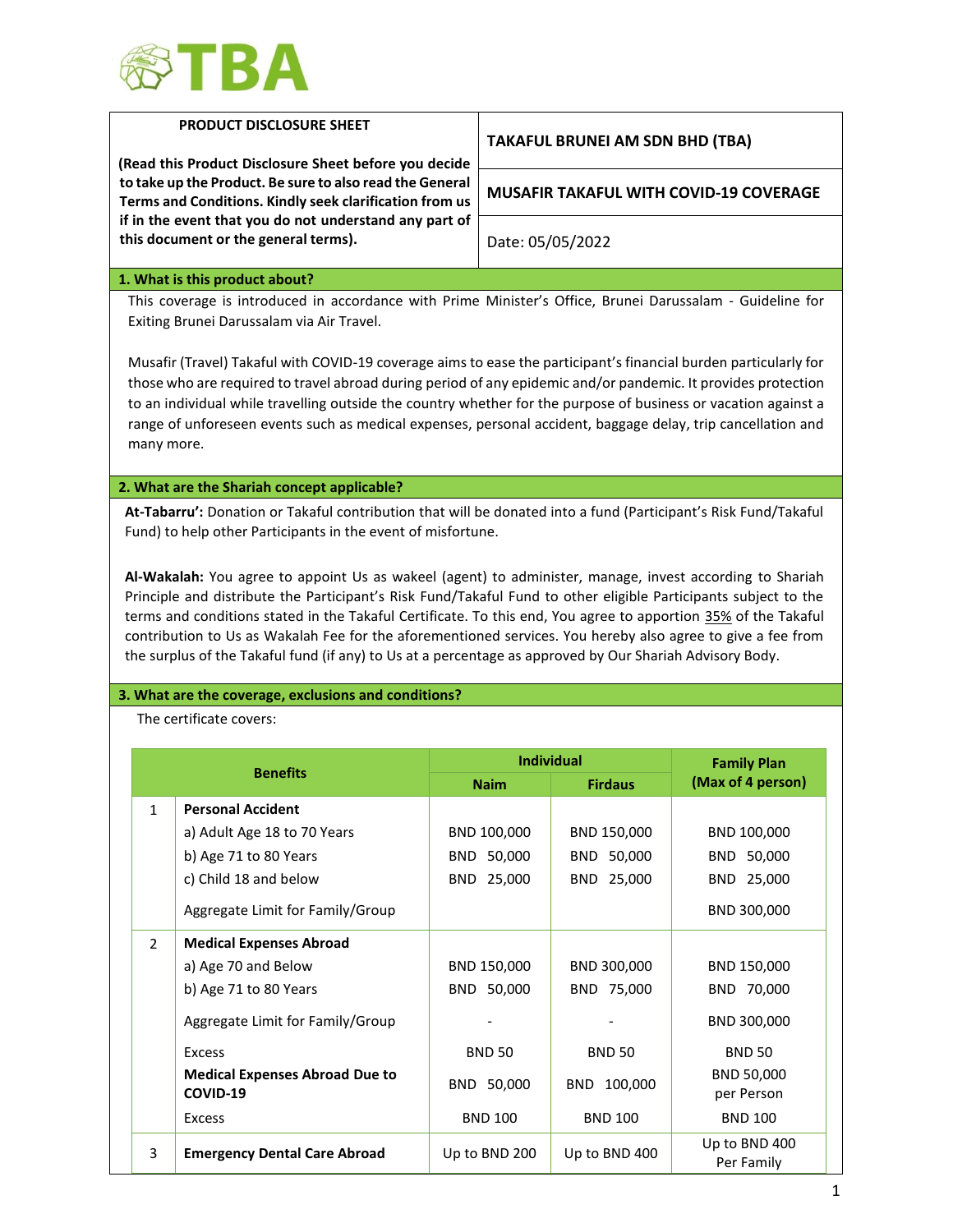

| <b>PRODUCT DISCLOSURE SHEET</b><br>(Read this Product Disclosure Sheet before you decide<br>to take up the Product. Be sure to also read the General<br>Terms and Conditions. Kindly seek clarification from us<br>if in the event that you do not understand any part of<br>this document or the general terms).                                                                                                                                                                                                                                                                                                                                                                                                                                           |                                                                                                                                                        |                   | <b>TAKAFUL BRUNEI AM SDN BHD (TBA)</b>        |                             |  |  |
|-------------------------------------------------------------------------------------------------------------------------------------------------------------------------------------------------------------------------------------------------------------------------------------------------------------------------------------------------------------------------------------------------------------------------------------------------------------------------------------------------------------------------------------------------------------------------------------------------------------------------------------------------------------------------------------------------------------------------------------------------------------|--------------------------------------------------------------------------------------------------------------------------------------------------------|-------------------|-----------------------------------------------|-----------------------------|--|--|
|                                                                                                                                                                                                                                                                                                                                                                                                                                                                                                                                                                                                                                                                                                                                                             |                                                                                                                                                        |                   | <b>MUSAFIR TAKAFUL WITH COVID-19 COVERAGE</b> |                             |  |  |
|                                                                                                                                                                                                                                                                                                                                                                                                                                                                                                                                                                                                                                                                                                                                                             |                                                                                                                                                        |                   | Date: 05/05/2022                              |                             |  |  |
|                                                                                                                                                                                                                                                                                                                                                                                                                                                                                                                                                                                                                                                                                                                                                             | 1. What is this product about?                                                                                                                         |                   |                                               |                             |  |  |
|                                                                                                                                                                                                                                                                                                                                                                                                                                                                                                                                                                                                                                                                                                                                                             | This coverage is introduced in accordance with Prime Minister's Office, Brunei Darussalam - Guideline for<br>Exiting Brunei Darussalam via Air Travel. |                   |                                               |                             |  |  |
| Musafir (Travel) Takaful with COVID-19 coverage aims to ease the participant's financial burden particularly for<br>those who are required to travel abroad during period of any epidemic and/or pandemic. It provides protection<br>to an individual while travelling outside the country whether for the purpose of business or vacation against a<br>range of unforeseen events such as medical expenses, personal accident, baggage delay, trip cancellation and<br>many more.                                                                                                                                                                                                                                                                          |                                                                                                                                                        |                   |                                               |                             |  |  |
|                                                                                                                                                                                                                                                                                                                                                                                                                                                                                                                                                                                                                                                                                                                                                             | 2. What are the Shariah concept applicable?                                                                                                            |                   |                                               |                             |  |  |
| At-Tabarru': Donation or Takaful contribution that will be donated into a fund (Participant's Risk Fund/Takaful<br>Fund) to help other Participants in the event of misfortune.<br>Al-Wakalah: You agree to appoint Us as wakeel (agent) to administer, manage, invest according to Shariah<br>Principle and distribute the Participant's Risk Fund/Takaful Fund to other eligible Participants subject to the<br>terms and conditions stated in the Takaful Certificate. To this end, You agree to apportion 35% of the Takaful<br>contribution to Us as Wakalah Fee for the aforementioned services. You hereby also agree to give a fee from<br>the surplus of the Takaful fund (if any) to Us at a percentage as approved by Our Shariah Advisory Body. |                                                                                                                                                        |                   |                                               |                             |  |  |
|                                                                                                                                                                                                                                                                                                                                                                                                                                                                                                                                                                                                                                                                                                                                                             |                                                                                                                                                        |                   |                                               |                             |  |  |
| 3. What are the coverage, exclusions and conditions?<br>The certificate covers:                                                                                                                                                                                                                                                                                                                                                                                                                                                                                                                                                                                                                                                                             |                                                                                                                                                        |                   |                                               |                             |  |  |
|                                                                                                                                                                                                                                                                                                                                                                                                                                                                                                                                                                                                                                                                                                                                                             |                                                                                                                                                        | <b>Individual</b> |                                               | <b>Family Plan</b>          |  |  |
|                                                                                                                                                                                                                                                                                                                                                                                                                                                                                                                                                                                                                                                                                                                                                             | <b>Benefits</b>                                                                                                                                        | <b>Naim</b>       | <b>Firdaus</b>                                | (Max of 4 person)           |  |  |
|                                                                                                                                                                                                                                                                                                                                                                                                                                                                                                                                                                                                                                                                                                                                                             | <b>Personal Accident</b><br>$\mathbf{1}$                                                                                                               |                   |                                               |                             |  |  |
|                                                                                                                                                                                                                                                                                                                                                                                                                                                                                                                                                                                                                                                                                                                                                             | a) Adult Age 18 to 70 Years                                                                                                                            | BND 100,000       | BND 150,000                                   | BND 100,000                 |  |  |
|                                                                                                                                                                                                                                                                                                                                                                                                                                                                                                                                                                                                                                                                                                                                                             | b) Age 71 to 80 Years                                                                                                                                  | BND 50,000        | BND 50,000                                    | BND 50,000                  |  |  |
|                                                                                                                                                                                                                                                                                                                                                                                                                                                                                                                                                                                                                                                                                                                                                             | c) Child 18 and below                                                                                                                                  | BND 25,000        | BND 25,000                                    | BND 25,000                  |  |  |
|                                                                                                                                                                                                                                                                                                                                                                                                                                                                                                                                                                                                                                                                                                                                                             | Aggregate Limit for Family/Group                                                                                                                       |                   |                                               | BND 300,000                 |  |  |
|                                                                                                                                                                                                                                                                                                                                                                                                                                                                                                                                                                                                                                                                                                                                                             | <b>Medical Expenses Abroad</b><br>$\overline{2}$                                                                                                       |                   |                                               |                             |  |  |
|                                                                                                                                                                                                                                                                                                                                                                                                                                                                                                                                                                                                                                                                                                                                                             | a) Age 70 and Below                                                                                                                                    | BND 150,000       | BND 300,000                                   | BND 150,000                 |  |  |
|                                                                                                                                                                                                                                                                                                                                                                                                                                                                                                                                                                                                                                                                                                                                                             | b) Age 71 to 80 Years                                                                                                                                  | BND 50,000        | BND 75,000                                    | BND 70,000                  |  |  |
|                                                                                                                                                                                                                                                                                                                                                                                                                                                                                                                                                                                                                                                                                                                                                             | Aggregate Limit for Family/Group                                                                                                                       |                   |                                               | BND 300,000                 |  |  |
|                                                                                                                                                                                                                                                                                                                                                                                                                                                                                                                                                                                                                                                                                                                                                             | <b>Excess</b>                                                                                                                                          | <b>BND 50</b>     | <b>BND 50</b>                                 | <b>BND 50</b>               |  |  |
|                                                                                                                                                                                                                                                                                                                                                                                                                                                                                                                                                                                                                                                                                                                                                             | <b>Medical Expenses Abroad Due to</b><br>COVID-19                                                                                                      | BND 50,000        | BND 100,000                                   | BND 50,000<br>per Person    |  |  |
|                                                                                                                                                                                                                                                                                                                                                                                                                                                                                                                                                                                                                                                                                                                                                             | Excess                                                                                                                                                 | <b>BND 100</b>    | <b>BND 100</b>                                | <b>BND 100</b>              |  |  |
|                                                                                                                                                                                                                                                                                                                                                                                                                                                                                                                                                                                                                                                                                                                                                             | 3<br><b>Emergency Dental Care Abroad</b>                                                                                                               | Up to BND 200     | Up to BND 400                                 | Up to BND 400<br>Per Family |  |  |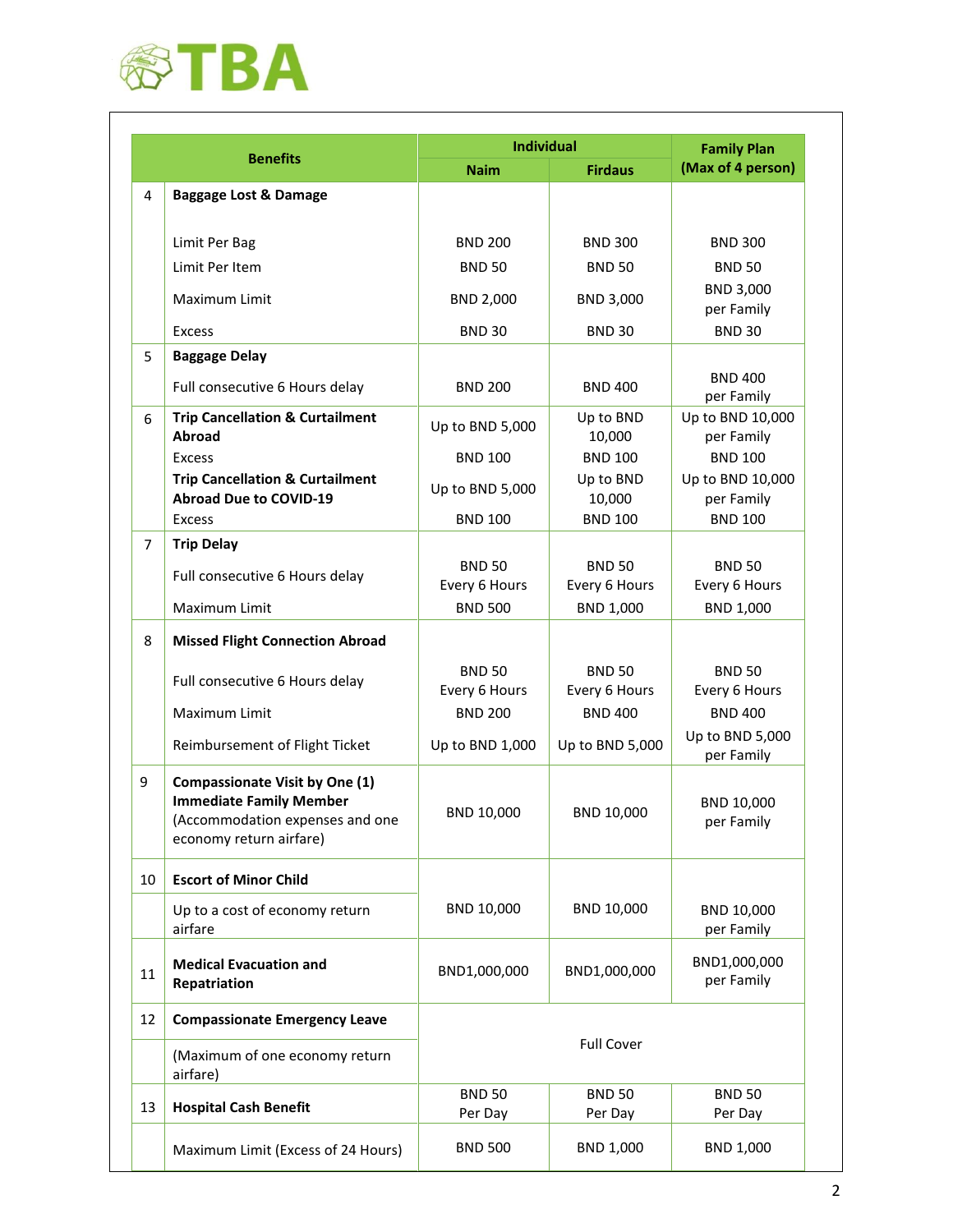

|                 |                                                                                                                                       | <b>Individual</b>              |                                | <b>Family Plan</b>             |  |
|-----------------|---------------------------------------------------------------------------------------------------------------------------------------|--------------------------------|--------------------------------|--------------------------------|--|
| <b>Benefits</b> |                                                                                                                                       | <b>Naim</b><br><b>Firdaus</b>  |                                | (Max of 4 person)              |  |
| 4               | <b>Baggage Lost &amp; Damage</b>                                                                                                      |                                |                                |                                |  |
|                 | Limit Per Bag                                                                                                                         | <b>BND 200</b>                 | <b>BND 300</b>                 | <b>BND 300</b>                 |  |
|                 | Limit Per Item                                                                                                                        | <b>BND 50</b>                  | <b>BND 50</b>                  | <b>BND 50</b>                  |  |
|                 | Maximum Limit                                                                                                                         | BND 2,000                      | BND 3,000                      | BND 3,000<br>per Family        |  |
|                 | <b>Excess</b>                                                                                                                         | <b>BND 30</b>                  | <b>BND 30</b>                  | <b>BND 30</b>                  |  |
| 5               | <b>Baggage Delay</b>                                                                                                                  |                                |                                |                                |  |
|                 | Full consecutive 6 Hours delay                                                                                                        | <b>BND 200</b>                 | <b>BND 400</b>                 | <b>BND 400</b><br>per Family   |  |
| 6               | <b>Trip Cancellation &amp; Curtailment</b><br>Abroad                                                                                  | Up to BND 5,000                | Up to BND<br>10,000            | Up to BND 10,000<br>per Family |  |
|                 | <b>Excess</b>                                                                                                                         | <b>BND 100</b>                 | <b>BND 100</b>                 | <b>BND 100</b>                 |  |
|                 | <b>Trip Cancellation &amp; Curtailment</b><br><b>Abroad Due to COVID-19</b>                                                           | Up to BND 5,000                | Up to BND<br>10,000            | Up to BND 10,000<br>per Family |  |
|                 | <b>Excess</b>                                                                                                                         | <b>BND 100</b>                 | <b>BND 100</b>                 | <b>BND 100</b>                 |  |
| 7               | <b>Trip Delay</b>                                                                                                                     |                                |                                |                                |  |
|                 | Full consecutive 6 Hours delay                                                                                                        | <b>BND 50</b><br>Every 6 Hours | <b>BND 50</b><br>Every 6 Hours | <b>BND 50</b><br>Every 6 Hours |  |
|                 | Maximum Limit                                                                                                                         | <b>BND 500</b>                 | BND 1,000                      | BND 1,000                      |  |
| 8               | <b>Missed Flight Connection Abroad</b>                                                                                                |                                |                                |                                |  |
|                 | Full consecutive 6 Hours delay                                                                                                        | <b>BND 50</b><br>Every 6 Hours | <b>BND 50</b><br>Every 6 Hours | <b>BND 50</b><br>Every 6 Hours |  |
|                 | Maximum Limit                                                                                                                         | <b>BND 200</b>                 | <b>BND 400</b>                 | <b>BND 400</b>                 |  |
|                 | Reimbursement of Flight Ticket                                                                                                        | Up to BND 1,000                | Up to BND 5,000                | Up to BND 5,000<br>per Family  |  |
| 9               | <b>Compassionate Visit by One (1)</b><br><b>Immediate Family Member</b><br>(Accommodation expenses and one<br>economy return airfare) | BND 10,000                     | BND 10,000                     | BND 10,000<br>per Family       |  |
| 10              | <b>Escort of Minor Child</b>                                                                                                          |                                |                                |                                |  |
|                 | Up to a cost of economy return<br>airfare                                                                                             | BND 10,000                     | BND 10,000                     | BND 10,000<br>per Family       |  |
| 11              | <b>Medical Evacuation and</b><br>Repatriation                                                                                         | BND1,000,000                   | BND1,000,000                   | BND1,000,000<br>per Family     |  |
| 12              | <b>Compassionate Emergency Leave</b>                                                                                                  |                                |                                |                                |  |
|                 | (Maximum of one economy return<br>airfare)                                                                                            | <b>Full Cover</b>              |                                |                                |  |
| 13              | <b>Hospital Cash Benefit</b>                                                                                                          | <b>BND 50</b><br>Per Day       | <b>BND 50</b><br>Per Day       | <b>BND 50</b><br>Per Day       |  |
|                 | Maximum Limit (Excess of 24 Hours)                                                                                                    | <b>BND 500</b>                 | BND 1,000                      | BND 1,000                      |  |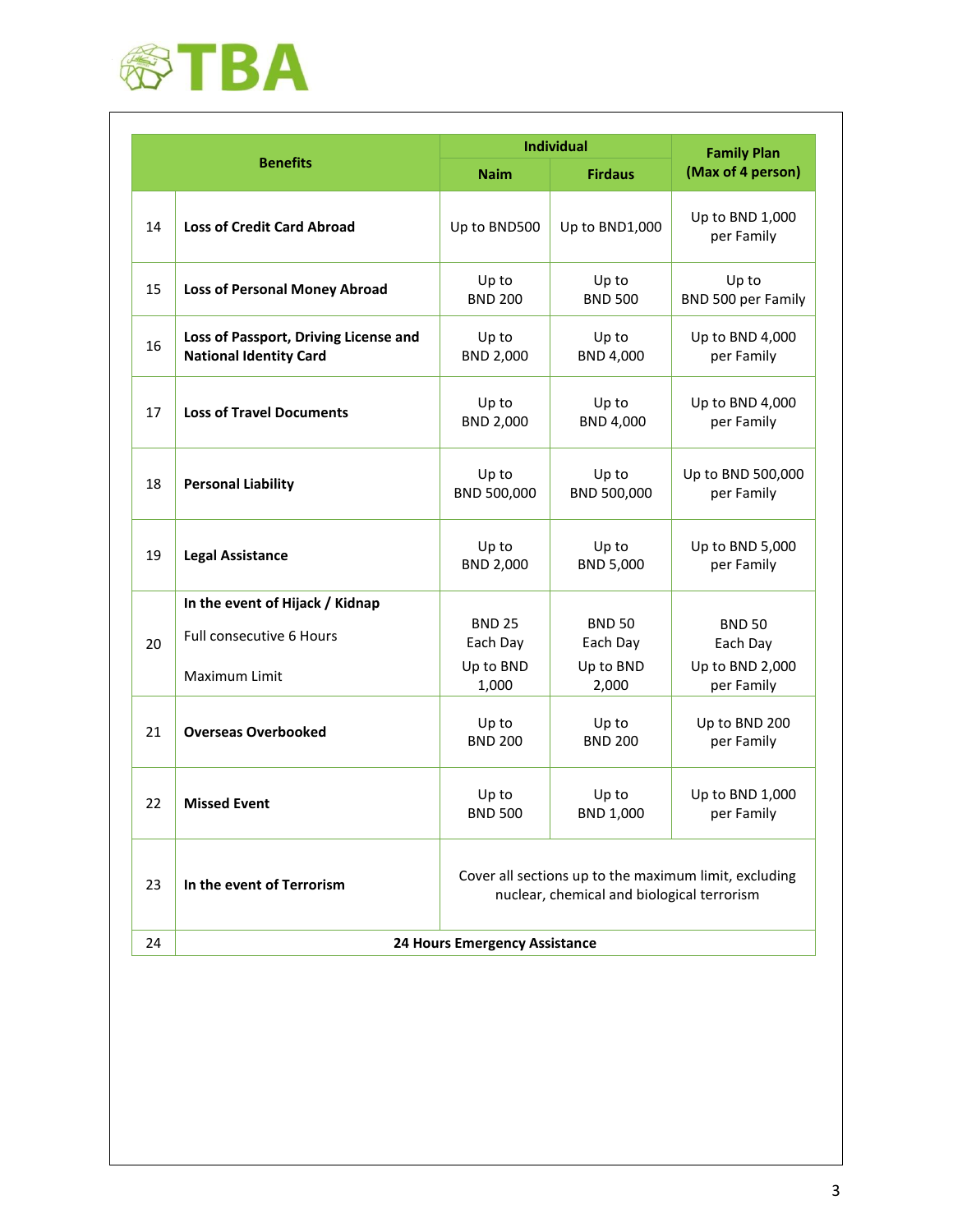

|    |                                                                        | <b>Individual</b>                                                                                   | <b>Family Plan</b>        |                                 |  |
|----|------------------------------------------------------------------------|-----------------------------------------------------------------------------------------------------|---------------------------|---------------------------------|--|
|    | <b>Benefits</b>                                                        | <b>Naim</b>                                                                                         | <b>Firdaus</b>            | (Max of 4 person)               |  |
| 14 | <b>Loss of Credit Card Abroad</b>                                      | Up to BND500                                                                                        | Up to BND1,000            | Up to BND 1,000<br>per Family   |  |
| 15 | <b>Loss of Personal Money Abroad</b>                                   | Up to<br><b>BND 200</b>                                                                             | Up to<br><b>BND 500</b>   | Up to<br>BND 500 per Family     |  |
| 16 | Loss of Passport, Driving License and<br><b>National Identity Card</b> | Up to<br><b>BND 2,000</b>                                                                           | Up to<br>BND 4,000        | Up to BND 4,000<br>per Family   |  |
| 17 | <b>Loss of Travel Documents</b>                                        | Up to<br><b>BND 2,000</b>                                                                           | Up to<br>BND 4,000        | Up to BND 4,000<br>per Family   |  |
| 18 | <b>Personal Liability</b>                                              | Up to<br>BND 500,000                                                                                | Up to<br>BND 500,000      | Up to BND 500,000<br>per Family |  |
| 19 | <b>Legal Assistance</b>                                                | Up to<br><b>BND 2,000</b>                                                                           | Up to<br>BND 5,000        | Up to BND 5,000<br>per Family   |  |
|    | In the event of Hijack / Kidnap                                        |                                                                                                     |                           |                                 |  |
| 20 | Full consecutive 6 Hours                                               | <b>BND 25</b><br>Each Day                                                                           | <b>BND 50</b><br>Each Day | <b>BND 50</b><br>Each Day       |  |
|    | Maximum Limit                                                          | Up to BND<br>1,000                                                                                  | Up to BND<br>2,000        | Up to BND 2,000<br>per Family   |  |
| 21 | <b>Overseas Overbooked</b>                                             | Up to<br>Up to<br><b>BND 200</b><br><b>BND 200</b>                                                  |                           | Up to BND 200<br>per Family     |  |
| 22 | <b>Missed Event</b>                                                    | Up to<br>Up to<br><b>BND 500</b><br>BND 1,000                                                       |                           | Up to BND 1,000<br>per Family   |  |
| 23 | In the event of Terrorism                                              | Cover all sections up to the maximum limit, excluding<br>nuclear, chemical and biological terrorism |                           |                                 |  |
| 24 | 24 Hours Emergency Assistance                                          |                                                                                                     |                           |                                 |  |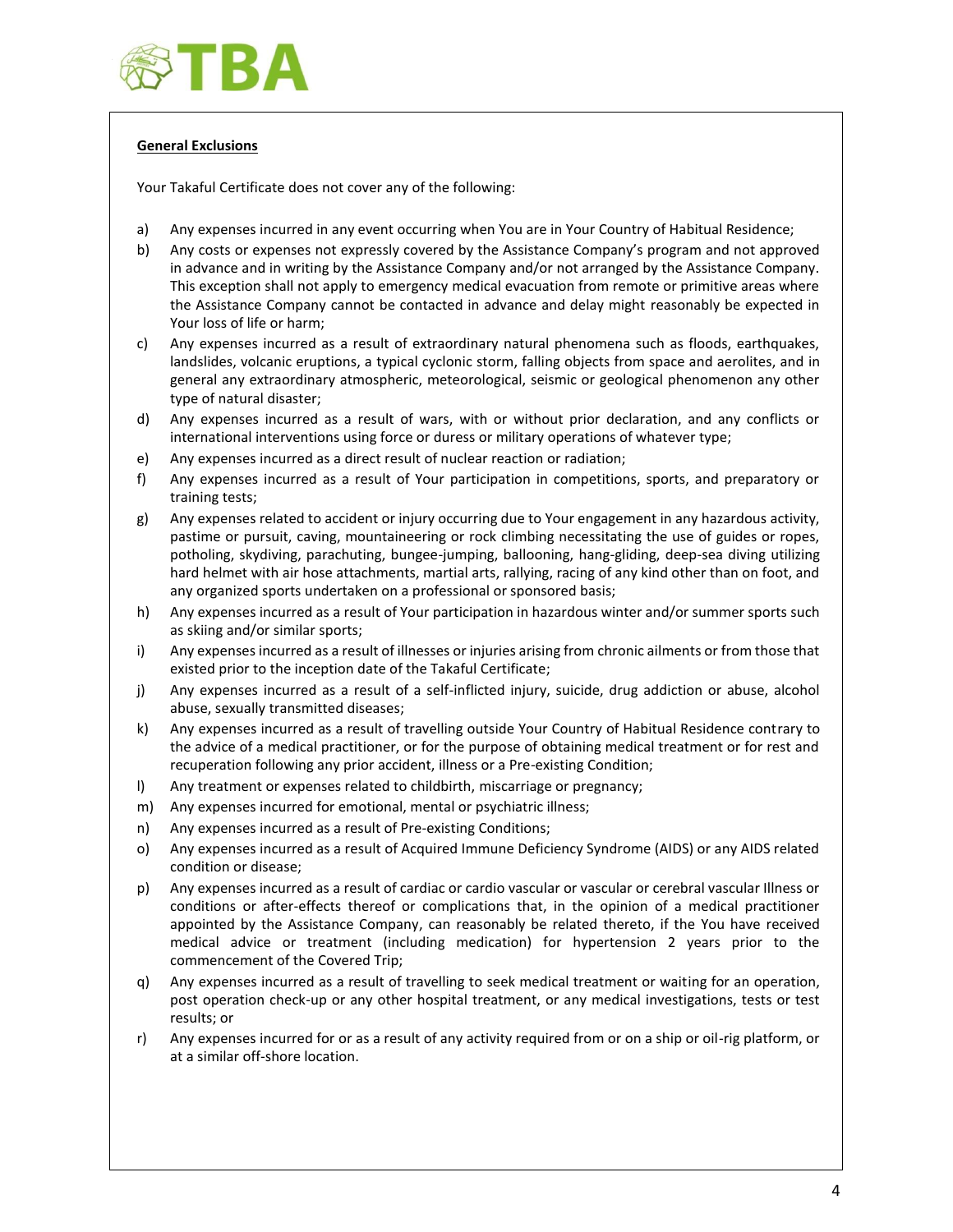

# **General Exclusions**

Your Takaful Certificate does not cover any of the following:

- a) Any expenses incurred in any event occurring when You are in Your Country of Habitual Residence;
- b) Any costs or expenses not expressly covered by the Assistance Company's program and not approved in advance and in writing by the Assistance Company and/or not arranged by the Assistance Company. This exception shall not apply to emergency medical evacuation from remote or primitive areas where the Assistance Company cannot be contacted in advance and delay might reasonably be expected in Your loss of life or harm;
- c) Any expenses incurred as a result of extraordinary natural phenomena such as floods, earthquakes, landslides, volcanic eruptions, a typical cyclonic storm, falling objects from space and aerolites, and in general any extraordinary atmospheric, meteorological, seismic or geological phenomenon any other type of natural disaster;
- d) Any expenses incurred as a result of wars, with or without prior declaration, and any conflicts or international interventions using force or duress or military operations of whatever type;
- e) Any expenses incurred as a direct result of nuclear reaction or radiation;
- f) Any expenses incurred as a result of Your participation in competitions, sports, and preparatory or training tests;
- g) Any expenses related to accident or injury occurring due to Your engagement in any hazardous activity, pastime or pursuit, caving, mountaineering or rock climbing necessitating the use of guides or ropes, potholing, skydiving, parachuting, bungee-jumping, ballooning, hang-gliding, deep-sea diving utilizing hard helmet with air hose attachments, martial arts, rallying, racing of any kind other than on foot, and any organized sports undertaken on a professional or sponsored basis;
- h) Any expenses incurred as a result of Your participation in hazardous winter and/or summer sports such as skiing and/or similar sports;
- i) Any expenses incurred as a result of illnesses or injuries arising from chronic ailments or from those that existed prior to the inception date of the Takaful Certificate;
- j) Any expenses incurred as a result of a self-inflicted injury, suicide, drug addiction or abuse, alcohol abuse, sexually transmitted diseases;
- k) Any expenses incurred as a result of travelling outside Your Country of Habitual Residence contrary to the advice of a medical practitioner, or for the purpose of obtaining medical treatment or for rest and recuperation following any prior accident, illness or a Pre-existing Condition;
- l) Any treatment or expenses related to childbirth, miscarriage or pregnancy;
- m) Any expenses incurred for emotional, mental or psychiatric illness;
- n) Any expenses incurred as a result of Pre-existing Conditions;
- o) Any expenses incurred as a result of Acquired Immune Deficiency Syndrome (AIDS) or any AIDS related condition or disease;
- p) Any expenses incurred as a result of cardiac or cardio vascular or vascular or cerebral vascular Illness or conditions or after-effects thereof or complications that, in the opinion of a medical practitioner appointed by the Assistance Company, can reasonably be related thereto, if the You have received medical advice or treatment (including medication) for hypertension 2 years prior to the commencement of the Covered Trip;
- q) Any expenses incurred as a result of travelling to seek medical treatment or waiting for an operation, post operation check-up or any other hospital treatment, or any medical investigations, tests or test results; or
- r) Any expenses incurred for or as a result of any activity required from or on a ship or oil-rig platform, or at a similar off-shore location.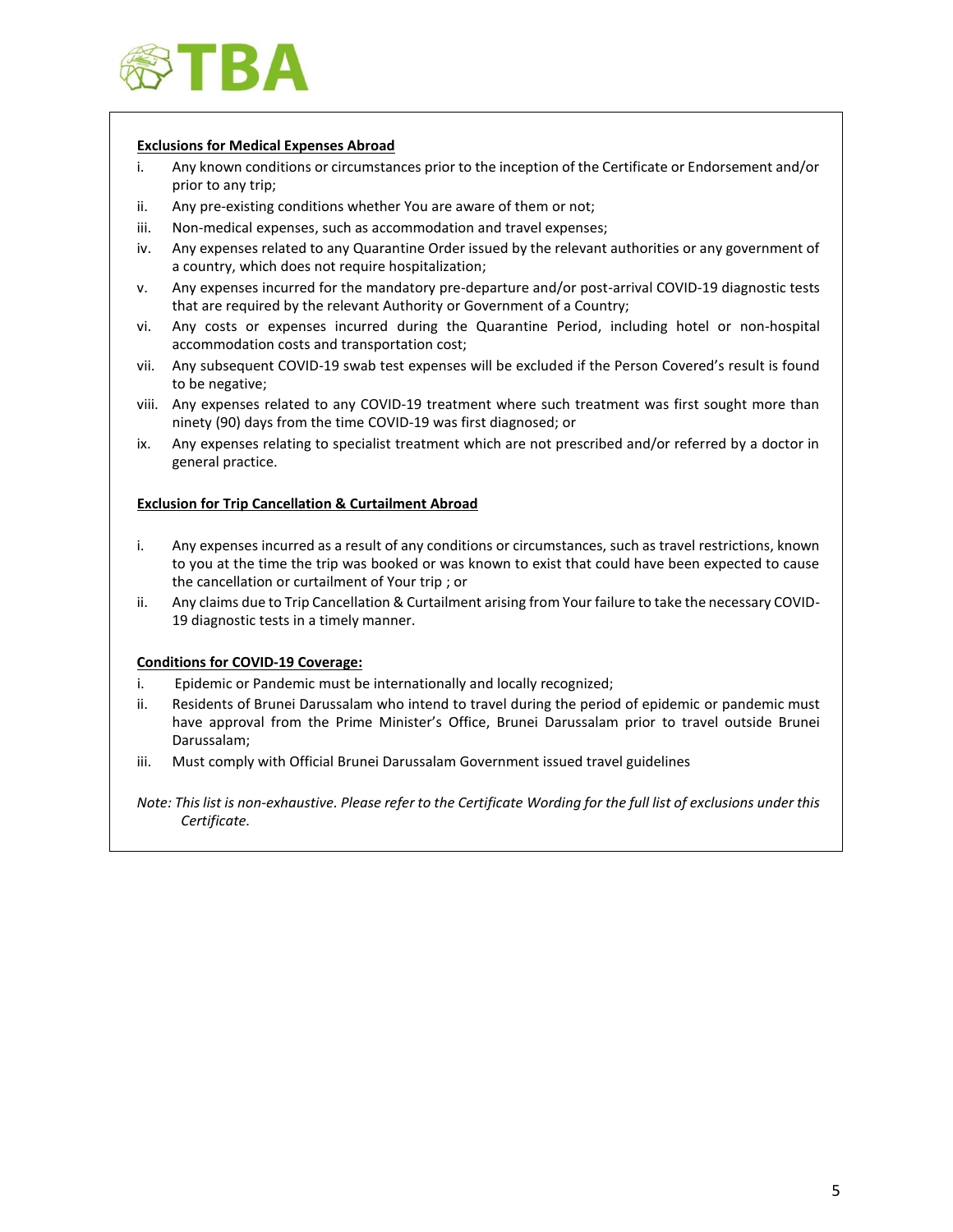

## **Exclusions for Medical Expenses Abroad**

- i. Any known conditions or circumstances prior to the inception of the Certificate or Endorsement and/or prior to any trip;
- ii. Any pre-existing conditions whether You are aware of them or not;
- iii. Non-medical expenses, such as accommodation and travel expenses;
- iv. Any expenses related to any Quarantine Order issued by the relevant authorities or any government of a country, which does not require hospitalization;
- v. Any expenses incurred for the mandatory pre-departure and/or post-arrival COVID-19 diagnostic tests that are required by the relevant Authority or Government of a Country;
- vi. Any costs or expenses incurred during the Quarantine Period, including hotel or non-hospital accommodation costs and transportation cost;
- vii. Any subsequent COVID-19 swab test expenses will be excluded if the Person Covered's result is found to be negative;
- viii. Any expenses related to any COVID-19 treatment where such treatment was first sought more than ninety (90) days from the time COVID-19 was first diagnosed; or
- ix. Any expenses relating to specialist treatment which are not prescribed and/or referred by a doctor in general practice.

### **Exclusion for Trip Cancellation & Curtailment Abroad**

- i. Any expenses incurred as a result of any conditions or circumstances, such as travel restrictions, known to you at the time the trip was booked or was known to exist that could have been expected to cause the cancellation or curtailment of Your trip ; or
- ii. Any claims due to Trip Cancellation & Curtailment arising from Your failure to take the necessary COVID-19 diagnostic tests in a timely manner.

#### **Conditions for COVID-19 Coverage:**

- i. Epidemic or Pandemic must be internationally and locally recognized;
- ii. Residents of Brunei Darussalam who intend to travel during the period of epidemic or pandemic must have approval from the Prime Minister's Office, Brunei Darussalam prior to travel outside Brunei Darussalam;
- iii. Must comply with Official Brunei Darussalam Government issued travel guidelines

*Note: This list is non-exhaustive. Please refer to the Certificate Wording for the full list of exclusions under this Certificate.*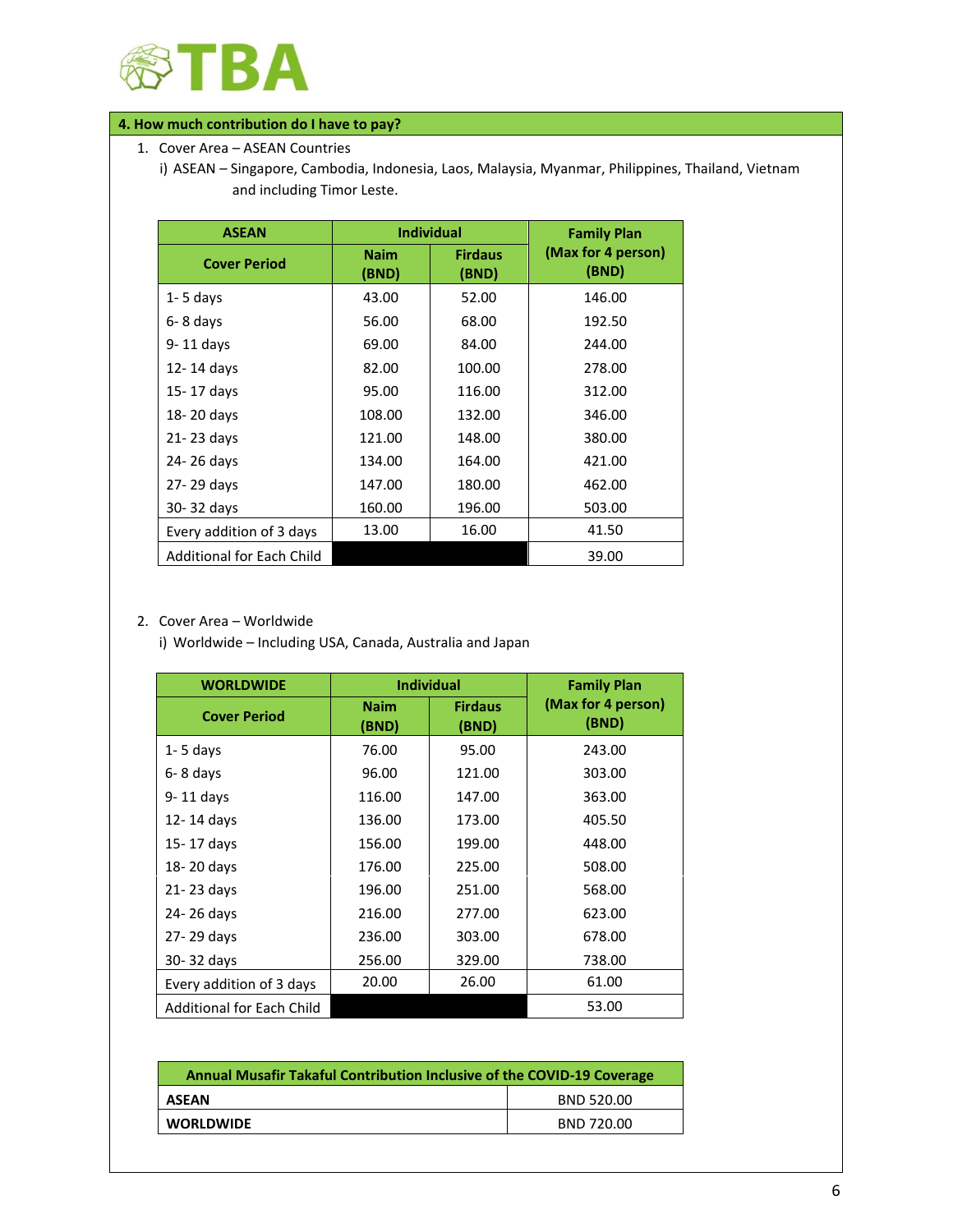

# **4. How much contribution do I have to pay?**

1. Cover Area – ASEAN Countries

i) ASEAN – Singapore, Cambodia, Indonesia, Laos, Malaysia, Myanmar, Philippines, Thailand, Vietnam and including Timor Leste.

| <b>ASEAN</b>                     |                      | <b>Individual</b>       | <b>Family Plan</b>          |
|----------------------------------|----------------------|-------------------------|-----------------------------|
| <b>Cover Period</b>              | <b>Naim</b><br>(BND) | <b>Firdaus</b><br>(BND) | (Max for 4 person)<br>(BND) |
| $1 - 5$ days                     | 43.00                | 52.00                   | 146.00                      |
| 6-8 days                         | 56.00                | 68.00                   | 192.50                      |
| 9-11 days                        | 69.00                | 84.00                   | 244.00                      |
| 12-14 days                       | 82.00                | 100.00                  | 278.00                      |
| 15-17 days                       | 95.00                | 116.00                  | 312.00                      |
| 18-20 days                       | 108.00               | 132.00                  | 346.00                      |
| 21-23 days                       | 121.00               | 148.00                  | 380.00                      |
| 24-26 days                       | 134.00               | 164.00                  | 421.00                      |
| 27-29 days                       | 147.00               | 180.00                  | 462.00                      |
| 30-32 days                       | 160.00               | 196.00                  | 503.00                      |
| Every addition of 3 days         | 13.00                | 16.00                   | 41.50                       |
| <b>Additional for Each Child</b> |                      |                         | 39.00                       |

## 2. Cover Area – Worldwide

i) Worldwide – Including USA, Canada, Australia and Japan

| <b>WORLDWIDE</b>                 | <b>Individual</b>    |                         | <b>Family Plan</b>          |  |
|----------------------------------|----------------------|-------------------------|-----------------------------|--|
| <b>Cover Period</b>              | <b>Naim</b><br>(BND) | <b>Firdaus</b><br>(BND) | (Max for 4 person)<br>(BND) |  |
| $1 - 5$ days                     | 76.00                | 95.00                   | 243.00                      |  |
| 6-8 days                         | 96.00                | 121.00                  | 303.00                      |  |
| 9-11 days                        | 116.00               | 147.00                  | 363.00                      |  |
| 12-14 days                       | 136.00               | 173.00                  | 405.50                      |  |
| 15-17 days                       | 156.00               | 199.00                  | 448.00                      |  |
| 18-20 days                       | 176.00               | 225.00                  | 508.00                      |  |
| 21-23 days                       | 196.00               | 251.00                  | 568.00                      |  |
| 24-26 days                       | 216.00               | 277.00                  | 623.00                      |  |
| 27-29 days                       | 236.00               | 303.00                  | 678.00                      |  |
| 30-32 days                       | 256.00               | 329.00                  | 738.00                      |  |
| Every addition of 3 days         | 20.00                | 26.00                   | 61.00                       |  |
| <b>Additional for Each Child</b> |                      |                         | 53.00                       |  |

| <b>Annual Musafir Takaful Contribution Inclusive of the COVID-19 Coverage</b> |            |  |  |
|-------------------------------------------------------------------------------|------------|--|--|
| <b>ASEAN</b>                                                                  | BND 520.00 |  |  |
| <b>WORLDWIDE</b>                                                              | BND 720.00 |  |  |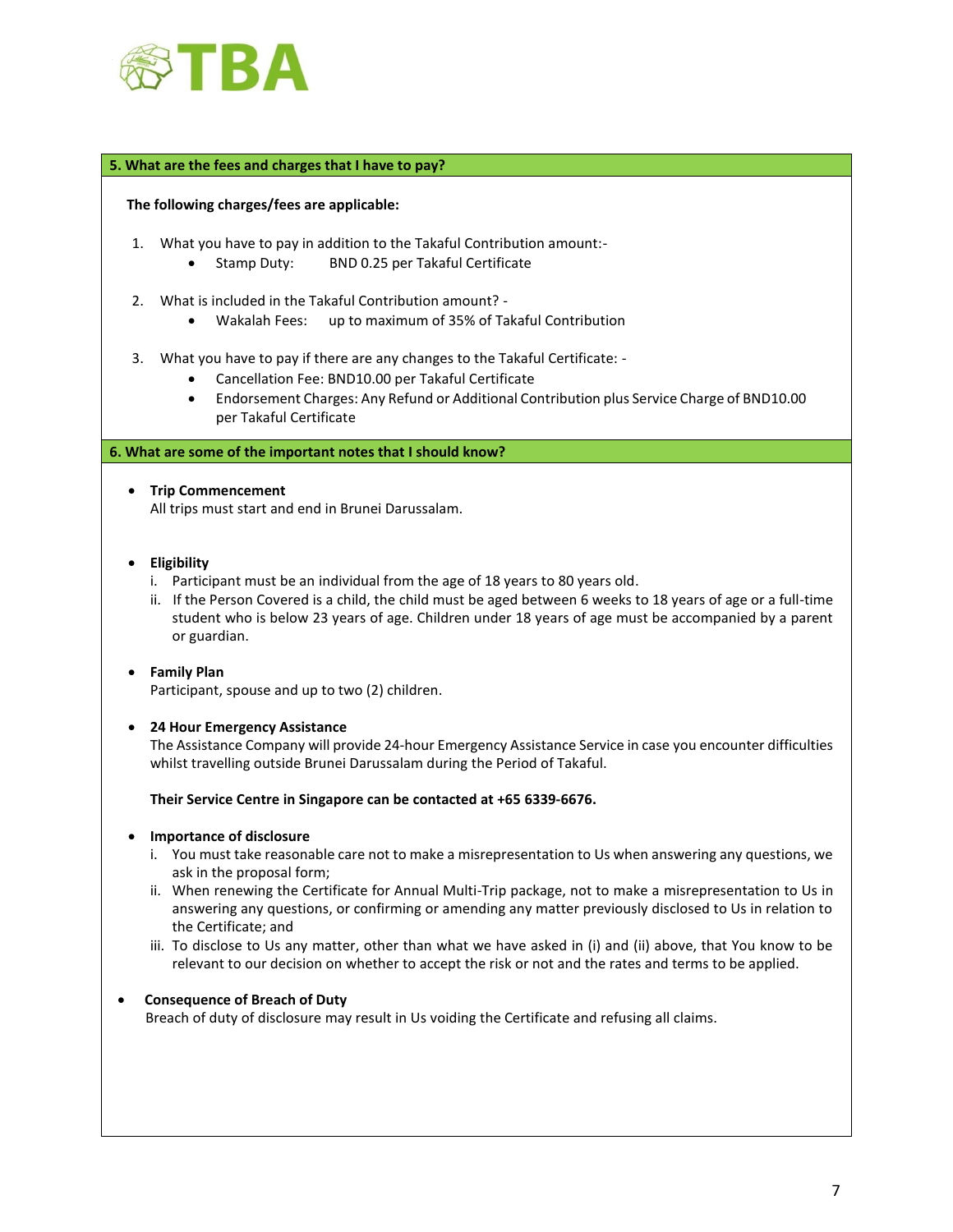

### **5. What are the fees and charges that I have to pay?**

#### **The following charges/fees are applicable:**

- 1. What you have to pay in addition to the Takaful Contribution amount:-
	- Stamp Duty: BND 0.25 per Takaful Certificate
- 2. What is included in the Takaful Contribution amount?
	- Wakalah Fees: up to maximum of 35% of Takaful Contribution
- 3. What you have to pay if there are any changes to the Takaful Certificate:
	- Cancellation Fee: BND10.00 per Takaful Certificate
	- Endorsement Charges: Any Refund or Additional Contribution plus Service Charge of BND10.00 per Takaful Certificate

#### **6. What are some of the important notes that I should know?**

#### • **Trip Commencement**

All trips must start and end in Brunei Darussalam.

- **Eligibility**
	- i. Participant must be an individual from the age of 18 years to 80 years old.
	- ii. If the Person Covered is a child, the child must be aged between 6 weeks to 18 years of age or a full-time student who is below 23 years of age. Children under 18 years of age must be accompanied by a parent or guardian.

#### • **Family Plan**

Participant, spouse and up to two (2) children.

#### • **24 Hour Emergency Assistance**

The Assistance Company will provide 24-hour Emergency Assistance Service in case you encounter difficulties whilst travelling outside Brunei Darussalam during the Period of Takaful.

**Their Service Centre in Singapore can be contacted at +65 6339-6676.**

#### • **Importance of disclosure**

- i. You must take reasonable care not to make a misrepresentation to Us when answering any questions, we ask in the proposal form;
- ii. When renewing the Certificate for Annual Multi-Trip package, not to make a misrepresentation to Us in answering any questions, or confirming or amending any matter previously disclosed to Us in relation to the Certificate; and
- iii. To disclose to Us any matter, other than what we have asked in (i) and (ii) above, that You know to be relevant to our decision on whether to accept the risk or not and the rates and terms to be applied.

## • **Consequence of Breach of Duty**

Breach of duty of disclosure may result in Us voiding the Certificate and refusing all claims.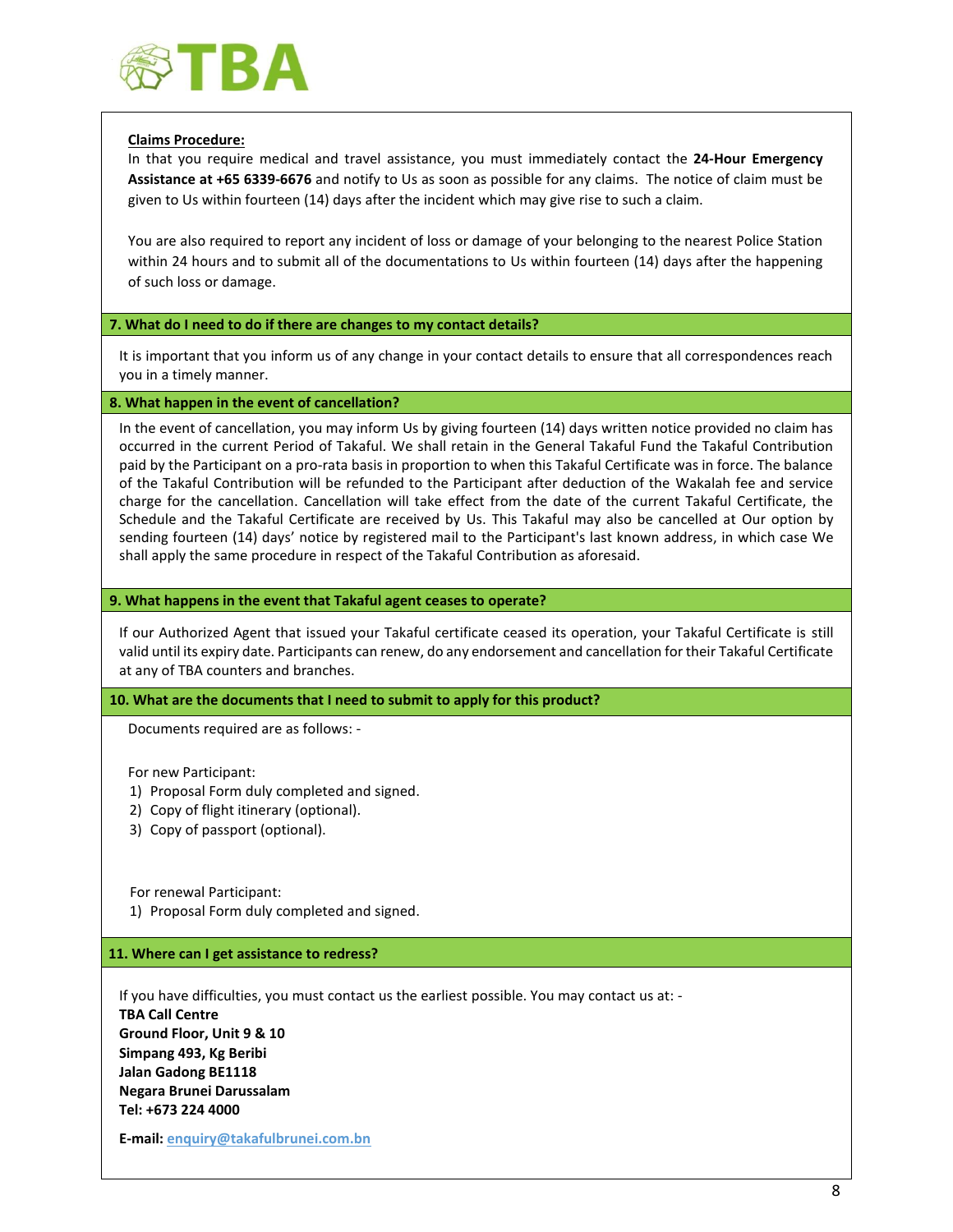

## **Claims Procedure:**

In that you require medical and travel assistance, you must immediately contact the **24-Hour Emergency Assistance at +65 6339-6676** and notify to Us as soon as possible for any claims. The notice of claim must be given to Us within fourteen (14) days after the incident which may give rise to such a claim.

You are also required to report any incident of loss or damage of your belonging to the nearest Police Station within 24 hours and to submit all of the documentations to Us within fourteen (14) days after the happening of such loss or damage.

### **7. What do I need to do if there are changes to my contact details?**

It is important that you inform us of any change in your contact details to ensure that all correspondences reach you in a timely manner.

#### **8. What happen in the event of cancellation?**

In the event of cancellation, you may inform Us by giving fourteen (14) days written notice provided no claim has occurred in the current Period of Takaful. We shall retain in the General Takaful Fund the Takaful Contribution paid by the Participant on a pro-rata basis in proportion to when this Takaful Certificate was in force. The balance of the Takaful Contribution will be refunded to the Participant after deduction of the Wakalah fee and service charge for the cancellation. Cancellation will take effect from the date of the current Takaful Certificate, the Schedule and the Takaful Certificate are received by Us. This Takaful may also be cancelled at Our option by sending fourteen (14) days' notice by registered mail to the Participant's last known address, in which case We shall apply the same procedure in respect of the Takaful Contribution as aforesaid.

### **9. What happens in the event that Takaful agent ceases to operate?**

If our Authorized Agent that issued your Takaful certificate ceased its operation, your Takaful Certificate is still valid until its expiry date. Participants can renew, do any endorsement and cancellation for their Takaful Certificate at any of TBA counters and branches.

#### **10. What are the documents that I need to submit to apply for this product?**

Documents required are as follows: -

For new Participant:

- 1) Proposal Form duly completed and signed.
- 2) Copy of flight itinerary (optional).
- 3) Copy of passport (optional).

For renewal Participant:

1) Proposal Form duly completed and signed.

#### **11. Where can I get assistance to redress?**

If you have difficulties, you must contact us the earliest possible. You may contact us at: - **TBA Call Centre Ground Floor, Unit 9 & 10 Simpang 493, Kg Beribi Jalan Gadong BE1118 Negara Brunei Darussalam Tel: +673 224 4000**

**E-mail: [enquiry@takafulbrunei.com.bn](mailto:enquiry@takafulbrunei.com.bn)**